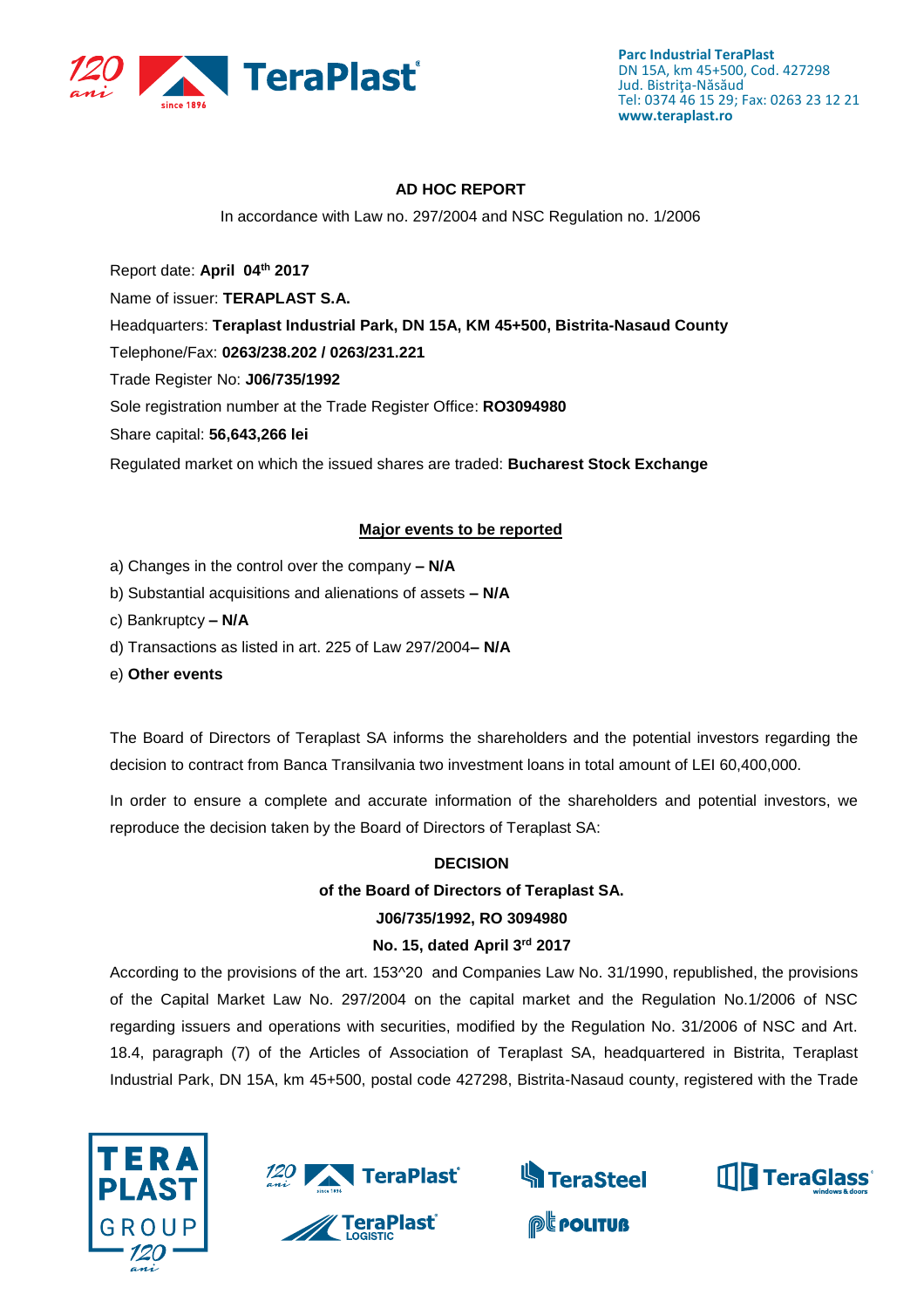

## **AD HOC REPORT**

In accordance with Law no. 297/2004 and NSC Regulation no. 1/2006

Report date: **April 04th 2017**

Name of issuer: **TERAPLAST S.A.** 

Headquarters: **Teraplast Industrial Park, DN 15A, KM 45+500, Bistrita-Nasaud County**

Telephone/Fax: **0263/238.202 / 0263/231.221**

Trade Register No: **J06/735/1992**

Sole registration number at the Trade Register Office: **RO3094980**

Share capital: **56,643,266 lei** 

Regulated market on which the issued shares are traded: **Bucharest Stock Exchange**

### **Major events to be reported**

- a) Changes in the control over the company **– N/A**
- b) Substantial acquisitions and alienations of assets **– N/A**
- c) Bankruptcy **– N/A**
- d) Transactions as listed in art. 225 of Law 297/2004**– N/A**
- e) **Other events**

The Board of Directors of Teraplast SA informs the shareholders and the potential investors regarding the decision to contract from Banca Transilvania two investment loans in total amount of LEI 60,400,000.

In order to ensure a complete and accurate information of the shareholders and potential investors, we reproduce the decision taken by the Board of Directors of Teraplast SA:

#### **DECISION**

# **of the Board of Directors of Teraplast SA.**

#### **J06/735/1992, RO 3094980**

#### **No. 15, dated April 3rd 2017**

According to the provisions of the art. 153^20 and Companies Law No. 31/1990, republished, the provisions of the Capital Market Law No. 297/2004 on the capital market and the Regulation No.1/2006 of NSC regarding issuers and operations with securities, modified by the Regulation No. 31/2006 of NSC and Art. 18.4, paragraph (7) of the Articles of Association of Teraplast SA, headquartered in Bistrita, Teraplast Industrial Park, DN 15A, km 45+500, postal code 427298, Bistrita-Nasaud county, registered with the Trade







**@Leouture** 

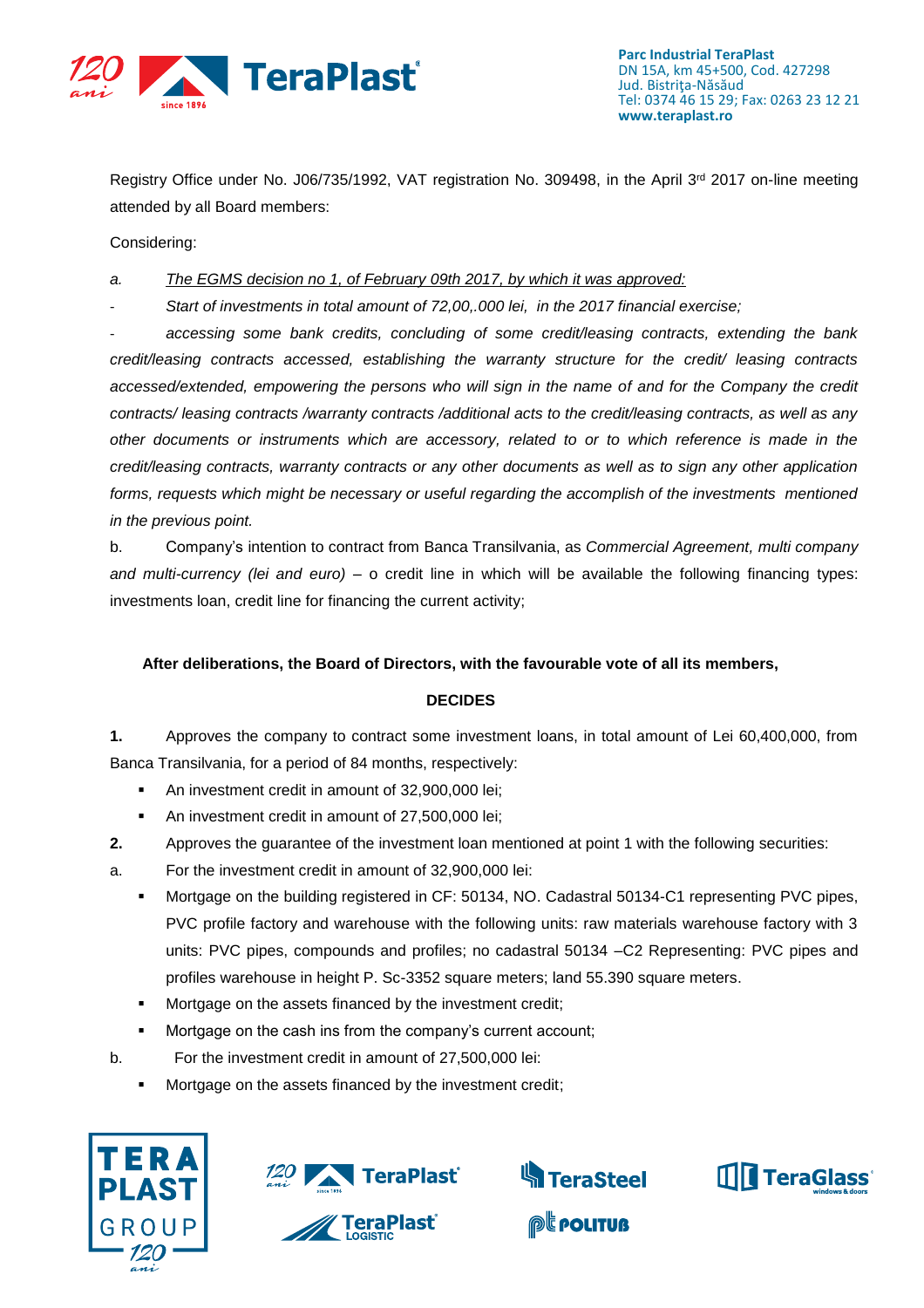

Registry Office under No. J06/735/1992, VAT registration No. 309498, in the April 3<sup>rd</sup> 2017 on-line meeting attended by all Board members:

Considering:

*a. The EGMS decision no 1, of February 09th 2017, by which it was approved:*

- *Start of investments in total amount of 72,00,.000 lei, in the 2017 financial exercise;* 

- *accessing some bank credits, concluding of some credit/leasing contracts, extending the bank credit/leasing contracts accessed, establishing the warranty structure for the credit/ leasing contracts accessed/extended, empowering the persons who will sign in the name of and for the Company the credit contracts/ leasing contracts /warranty contracts /additional acts to the credit/leasing contracts, as well as any other documents or instruments which are accessory, related to or to which reference is made in the credit/leasing contracts, warranty contracts or any other documents as well as to sign any other application*  forms, requests which might be necessary or useful regarding the accomplish of the investments mentioned *in the previous point.* 

b. Company's intention to contract from Banca Transilvania, as *Commercial Agreement, multi company and multi-currency (lei and euro)* – o credit line in which will be available the following financing types: investments loan, credit line for financing the current activity;

## **After deliberations, the Board of Directors, with the favourable vote of all its members,**

#### **DECIDES**

**1.** Approves the company to contract some investment loans, in total amount of Lei 60,400,000, from Banca Transilvania, for a period of 84 months, respectively:

- An investment credit in amount of 32,900,000 lei;
- An investment credit in amount of 27,500,000 lei;
- **2.** Approves the guarantee of the investment loan mentioned at point 1 with the following securities:
- a. For the investment credit in amount of 32,900,000 lei:
	- Mortgage on the building registered in CF: 50134, NO. Cadastral 50134-C1 representing PVC pipes, PVC profile factory and warehouse with the following units: raw materials warehouse factory with 3 units: PVC pipes, compounds and profiles; no cadastral 50134 –C2 Representing: PVC pipes and profiles warehouse in height P. Sc-3352 square meters; land 55.390 square meters.
	- **Mortgage on the assets financed by the investment credit;**
	- Mortgage on the cash ins from the company's current account;
- b. For the investment credit in amount of 27,500,000 lei:
	- **Mortgage on the assets financed by the investment credit;**







**@Leouture**